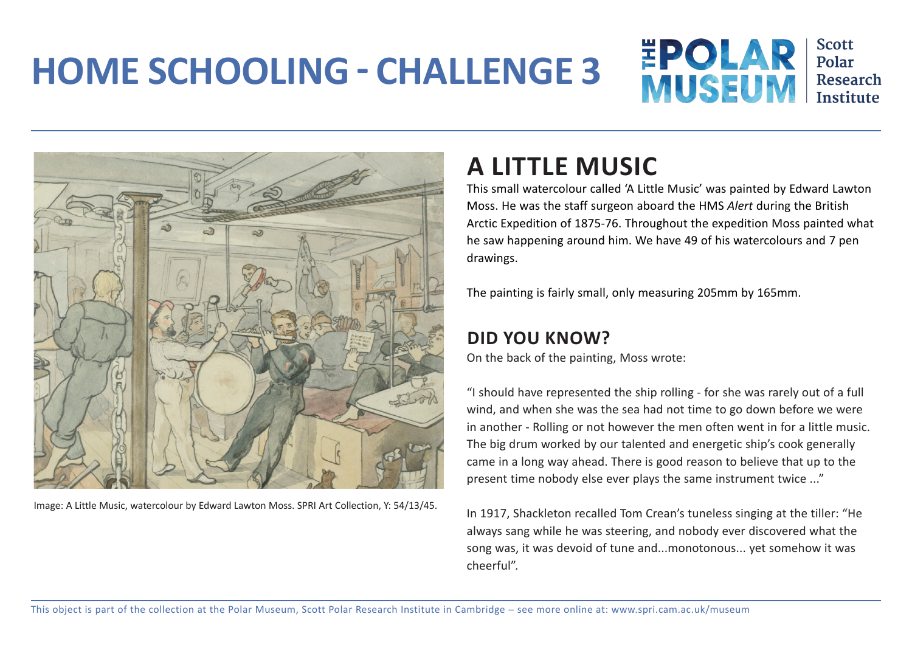## **HOME SCHOOLING - CHALLENGE 3**





Image: A Little Music, watercolour by Edward Lawton Moss. SPRI Art Collection, Y: 54/13/45.

## **A LITTLE MUSIC**

This small watercolour called 'A Little Music' was painted by Edward Lawton Moss. He was the staff surgeon aboard the HMS *Alert* during the British Arctic Expedition of 1875-76. Throughout the expedition Moss painted what he saw happening around him. We have 49 of his watercolours and 7 pen drawings.

The painting is fairly small, only measuring 205mm by 165mm.

## **DID YOU KNOW?**

On the back of the painting, Moss wrote:

"I should have represented the ship rolling - for she was rarely out of a full wind, and when she was the sea had not time to go down before we were in another - Rolling or not however the men often went in for a little music. The big drum worked by our talented and energetic ship's cook generally came in a long way ahead. There is good reason to believe that up to the present time nobody else ever plays the same instrument twice ..."

In 1917, Shackleton recalled Tom Crean's tuneless singing at the tiller: "He always sang while he was steering, and nobody ever discovered what the song was, it was devoid of tune and...monotonous... yet somehow it was cheerful".